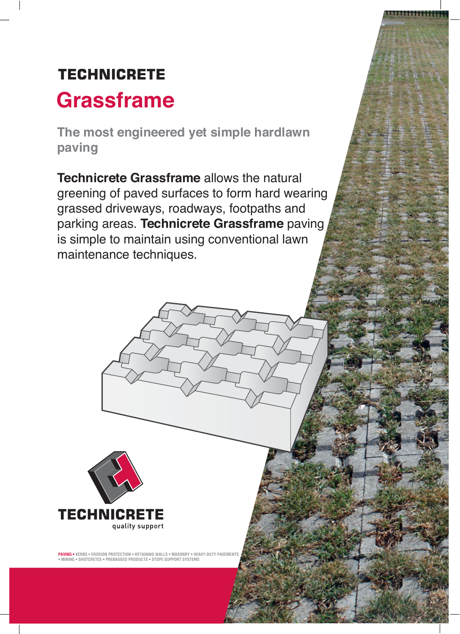# **TECHNICRETE Grassframe**

**The most engineered yet simple hardlawn paving**

**Technicrete Grassframe** allows the natural greening of paved surfaces to form hard wearing grassed driveways, roadways, footpaths and parking areas. **Technicrete Grassframe** paving is simple to maintain using conventional lawn maintenance techniques.



**PAVING • KERBS • EROSION PROTECTION • RETAINING WALLS • MASONRY • HEAVY DUTY PAVEMENTS • MINING • SHOTCRETES • PREBAGGED PRODUCTS • STOPE SUPPORT SYSTEMS**